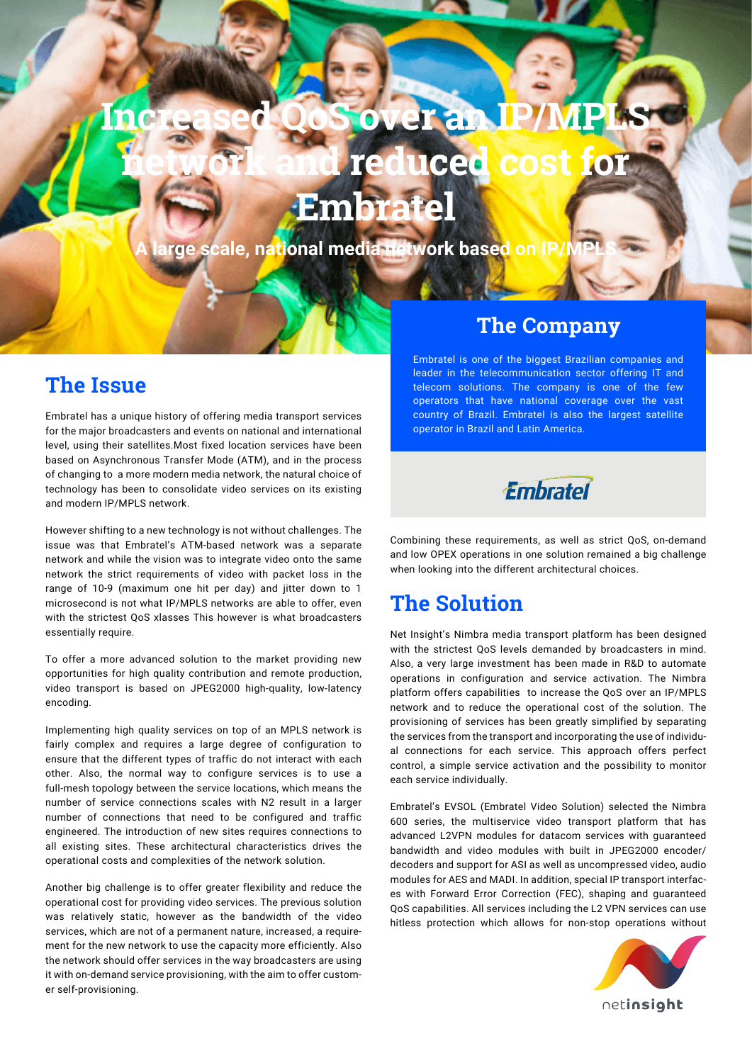## **Increased QoS over an IP/MPLS network and reduced cost for Embratel**

**cale, national media network based or** 

### **The Issue**

Embratel has a unique history of offering media transport services for the major broadcasters and events on national and international level, using their satellites.Most fixed location services have been based on Asynchronous Transfer Mode (ATM), and in the process of changing to a more modern media network, the natural choice of technology has been to consolidate video services on its existing and modern IP/MPLS network.

However shifting to a new technology is not without challenges. The issue was that Embratel's ATM-based network was a separate network and while the vision was to integrate video onto the same network the strict requirements of video with packet loss in the range of 10-9 (maximum one hit per day) and jitter down to 1 microsecond is not what IP/MPLS networks are able to offer, even with the strictest OoS xlasses This however is what broadcasters essentially require.

To offer a more advanced solution to the market providing new opportunities for high quality contribution and remote production, video transport is based on JPEG2000 high-quality, low-latency encoding.

Implementing high quality services on top of an MPLS network is fairly complex and requires a large degree of configuration to ensure that the different types of traffic do not interact with each other. Also, the normal way to configure services is to use a full-mesh topology between the service locations, which means the number of service connections scales with N2 result in a larger number of connections that need to be configured and traffic engineered. The introduction of new sites requires connections to all existing sites. These architectural characteristics drives the operational costs and complexities of the network solution.

Another big challenge is to offer greater flexibility and reduce the operational cost for providing video services. The previous solution was relatively static, however as the bandwidth of the video services, which are not of a permanent nature, increased, a requirement for the new network to use the capacity more efficiently. Also the network should offer services in the way broadcasters are using it with on-demand service provisioning, with the aim to offer customer self-provisioning.

#### **The Company**

Embratel is one of the biggest Brazilian companies and leader in the telecommunication sector offering IT and telecom solutions. The company is one of the few operators that have national coverage over the vast country of Brazil. Embratel is also the largest satellite operator in Brazil and Latin America.



Combining these requirements, as well as strict QoS, on-demand and low OPEX operations in one solution remained a big challenge when looking into the different architectural choices.

## **The Solution**

Net Insight's Nimbra media transport platform has been designed with the strictest QoS levels demanded by broadcasters in mind. Also, a very large investment has been made in R&D to automate operations in configuration and service activation. The Nimbra platform offers capabilities to increase the QoS over an IP/MPLS network and to reduce the operational cost of the solution. The provisioning of services has been greatly simplified by separating the services from the transport and incorporating the use of individual connections for each service. This approach offers perfect control, a simple service activation and the possibility to monitor each service individually.

Embratel's EVSOL (Embratel Video Solution) selected the Nimbra 600 series, the multiservice video transport platform that has advanced L2VPN modules for datacom services with guaranteed bandwidth and video modules with built in JPEG2000 encoder/ decoders and support for ASI as well as uncompressed video, audio modules for AES and MADI. In addition, special IP transport interfaces with Forward Error Correction (FEC), shaping and guaranteed QoS capabilities. All services including the L2 VPN services can use hitless protection which allows for non-stop operations without